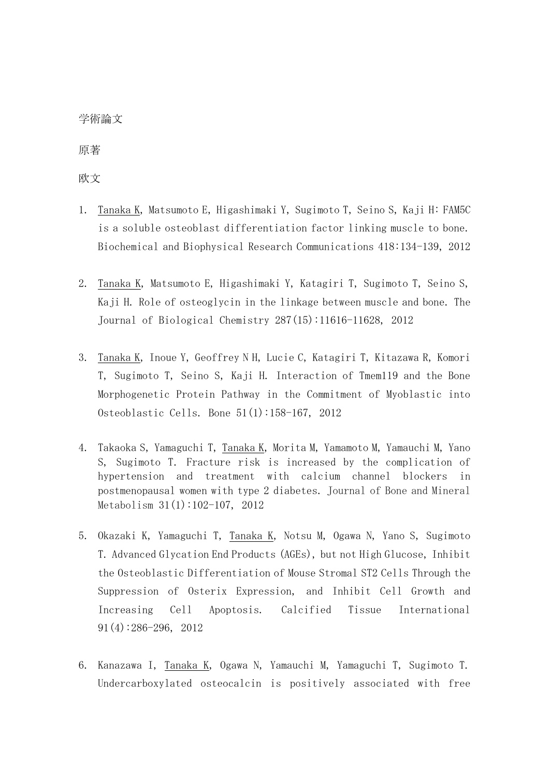学術論文

原著

欧文

- 1. Tanaka K, Matsumoto E, Higashimaki Y, Sugimoto T, Seino S, Kaji H: FAM5C is a soluble osteoblast differentiation factor linking muscle to bone. Biochemical and Biophysical Research Communications 418:134-139, 2012
- 2. Tanaka K, Matsumoto E, Higashimaki Y, Katagiri T, Sugimoto T, Seino S, Kaji H. Role of osteoglycin in the linkage between muscle and bone. The Journal of Biological Chemistry 287(15):11616-11628, 2012
- 3. Tanaka K, Inoue Y, Geoffrey N H, Lucie C, Katagiri T, Kitazawa R, Komori T, Sugimoto T, Seino S, Kaji H. Interaction of Tmem119 and the Bone Morphogenetic Protein Pathway in the Commitment of Myoblastic into Osteoblastic Cells. Bone 51(1):158-167, 2012
- 4. Takaoka S, Yamaguchi T, Tanaka K, Morita M, Yamamoto M, Yamauchi M, Yano S, Sugimoto T. Fracture risk is increased by the complication of hypertension and treatment with calcium channel blockers in postmenopausal women with type 2 diabetes. Journal of Bone and Mineral Metabolism 31(1):102-107, 2012
- 5. Okazaki K, Yamaguchi T, Tanaka K, Notsu M, Ogawa N, Yano S, Sugimoto T. Advanced Glycation End Products (AGEs), but not High Glucose, Inhibit the Osteoblastic Differentiation of Mouse Stromal ST2 Cells Through the Suppression of Osterix Expression, and Inhibit Cell Growth and Increasing Cell Apoptosis. Calcified Tissue International 91(4):286-296, 2012
- 6. Kanazawa I, Tanaka K, Ogawa N, Yamauchi M, Yamaguchi T, Sugimoto T. Undercarboxylated osteocalcin is positively associated with free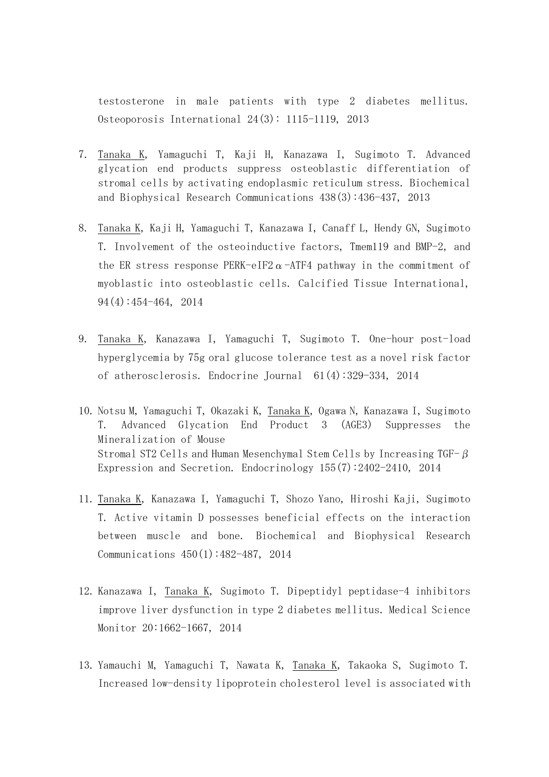testosterone in male patients with type 2 diabetes mellitus. Osteoporosis International 24(3): 1115-1119, 2013

- 7. Tanaka K, Yamaguchi T, Kaji H, Kanazawa I, Sugimoto T. Advanced glycation end products suppress osteoblastic differentiation of stromal cells by activating endoplasmic reticulum stress. Biochemical and Biophysical Research Communications 438(3):436-437, 2013
- 8. Tanaka K, Kaji H, Yamaguchi T, Kanazawa I, Canaff L, Hendy GN, Sugimoto T. Involvement of the osteoinductive factors, Tmem119 and BMP-2, and the ER stress response PERK-eIF2 $\alpha$ -ATF4 pathway in the commitment of myoblastic into osteoblastic cells. Calcified Tissue International, 94(4):454-464, 2014
- 9. Tanaka K, Kanazawa I, Yamaguchi T, Sugimoto T. One-hour post-load hyperglycemia by 75g oral glucose tolerance test as a novel risk factor of atherosclerosis. Endocrine Journal 61(4):329-334, 2014
- 10. Notsu M, Yamaguchi T, Okazaki K, Tanaka K, Ogawa N, Kanazawa I, Sugimoto T. Advanced Glycation End Product 3 (AGE3) Suppresses the Mineralization of Mouse Stromal ST2 Cells and Human Mesenchymal Stem Cells by Increasing TGF- $\beta$ Expression and Secretion. Endocrinology 155(7):2402-2410, 2014
- 11. Tanaka K, Kanazawa I, Yamaguchi T, Shozo Yano, Hiroshi Kaji, Sugimoto T. Active vitamin D possesses beneficial effects on the interaction between muscle and bone. Biochemical and Biophysical Research Communications 450(1):482-487, 2014
- 12. Kanazawa I, Tanaka K, Sugimoto T. Dipeptidyl peptidase-4 inhibitors improve liver dysfunction in type 2 diabetes mellitus. Medical Science Monitor 20:1662-1667, 2014
- 13. Yamauchi M, Yamaguchi T, Nawata K, Tanaka K, Takaoka S, Sugimoto T. Increased low-density lipoprotein cholesterol level is associated with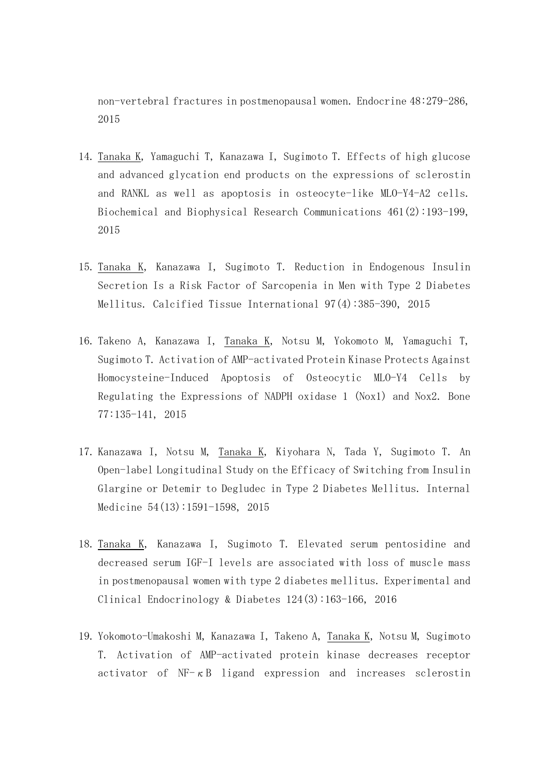non-vertebral fractures in postmenopausal women. Endocrine 48:279-286, 2015

- 14. Tanaka K, Yamaguchi T, Kanazawa I, Sugimoto T. Effects of high glucose and advanced glycation end products on the expressions of sclerostin and RANKL as well as apoptosis in osteocyte-like MLO-Y4-A2 cells. Biochemical and Biophysical Research Communications 461(2):193-199, 2015
- 15. Tanaka K, Kanazawa I, Sugimoto T. Reduction in Endogenous Insulin Secretion Is a Risk Factor of Sarcopenia in Men with Type 2 Diabetes Mellitus. Calcified Tissue International 97(4):385-390, 2015
- 16. Takeno A, Kanazawa I, Tanaka K, Notsu M, Yokomoto M, Yamaguchi T, Sugimoto T. Activation of AMP-activated Protein Kinase Protects Against Homocysteine-Induced Apoptosis of Osteocytic MLO-Y4 Cells by Regulating the Expressions of NADPH oxidase 1 (Nox1) and Nox2. Bone 77:135-141, 2015
- 17. Kanazawa I, Notsu M, Tanaka K, Kiyohara N, Tada Y, Sugimoto T. An Open-label Longitudinal Study on the Efficacy of Switching from Insulin Glargine or Detemir to Degludec in Type 2 Diabetes Mellitus. Internal Medicine 54(13):1591-1598, 2015
- 18. Tanaka K, Kanazawa I, Sugimoto T. Elevated serum pentosidine and decreased serum IGF-I levels are associated with loss of muscle mass in postmenopausal women with type 2 diabetes mellitus. Experimental and Clinical Endocrinology & Diabetes 124(3):163-166, 2016
- 19. Yokomoto-Umakoshi M, Kanazawa I, Takeno A, Tanaka K, Notsu M, Sugimoto T. Activation of AMP-activated protein kinase decreases receptor activator of NF-κB ligand expression and increases sclerostin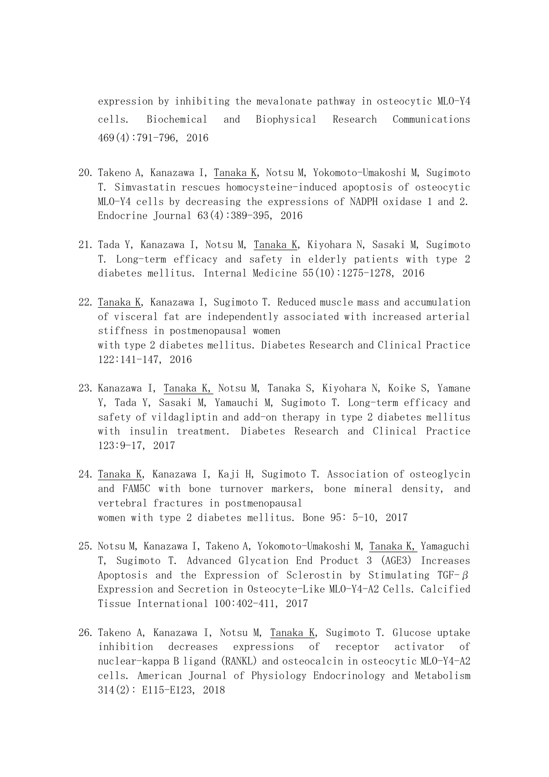expression by inhibiting the mevalonate pathway in osteocytic MLO-Y4 cells. Biochemical and Biophysical Research Communications 469(4):791-796, 2016

- 20. Takeno A, Kanazawa I, Tanaka K, Notsu M, Yokomoto-Umakoshi M, Sugimoto T. Simvastatin rescues homocysteine-induced apoptosis of osteocytic MLO-Y4 cells by decreasing the expressions of NADPH oxidase 1 and 2. Endocrine Journal 63(4):389-395, 2016
- 21. Tada Y, Kanazawa I, Notsu M, Tanaka K, Kiyohara N, Sasaki M, Sugimoto T. Long-term efficacy and safety in elderly patients with type 2 diabetes mellitus. Internal Medicine 55(10):1275-1278, 2016
- 22. Tanaka K, Kanazawa I, Sugimoto T. Reduced muscle mass and accumulation of visceral fat are independently associated with increased arterial stiffness in postmenopausal women with type 2 diabetes mellitus. Diabetes Research and Clinical Practice 122:141-147, 2016
- 23. Kanazawa I, Tanaka K, Notsu M, Tanaka S, Kiyohara N, Koike S, Yamane Y, Tada Y, Sasaki M, Yamauchi M, Sugimoto T. Long-term efficacy and safety of vildagliptin and add-on therapy in type 2 diabetes mellitus with insulin treatment. Diabetes Research and Clinical Practice 123:9-17, 2017
- 24. Tanaka K, Kanazawa I, Kaji H, Sugimoto T. Association of osteoglycin and FAM5C with bone turnover markers, bone mineral density, and vertebral fractures in postmenopausal women with type 2 diabetes mellitus. Bone 95: 5-10, 2017
- 25. Notsu M, Kanazawa I, Takeno A, Yokomoto-Umakoshi M, Tanaka K, Yamaguchi T, Sugimoto T. Advanced Glycation End Product 3 (AGE3) Increases Apoptosis and the Expression of Sclerostin by Stimulating TGF- $\beta$ Expression and Secretion in Osteocyte-Like MLO-Y4-A2 Cells. Calcified Tissue International 100:402-411, 2017
- 26. Takeno A, Kanazawa I, Notsu M, Tanaka K, Sugimoto T. Glucose uptake inhibition decreases expressions of receptor activator of nuclear-kappa B ligand (RANKL) and osteocalcin in osteocytic MLO-Y4-A2 cells. American Journal of Physiology Endocrinology and Metabolism 314(2): E115-E123, 2018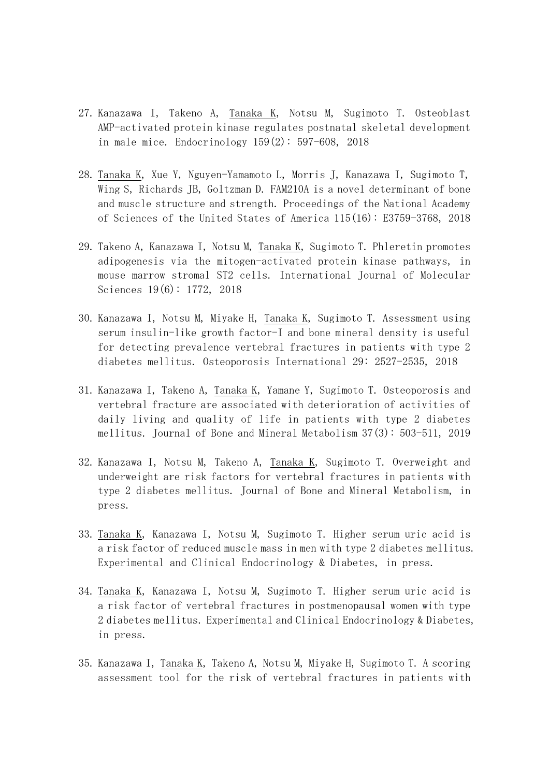- 27. Kanazawa I, Takeno A, Tanaka K, Notsu M, Sugimoto T. Osteoblast AMP-activated protein kinase regulates postnatal skeletal development in male mice. Endocrinology 159(2): 597-608, 2018
- 28. Tanaka K, Xue Y, Nguyen-Yamamoto L, Morris J, Kanazawa I, Sugimoto T, Wing S, Richards JB, Goltzman D. FAM210A is a novel determinant of bone and muscle structure and strength. Proceedings of the National Academy of Sciences of the United States of America 115(16): E3759-3768, 2018
- 29. Takeno A, Kanazawa I, Notsu M, Tanaka K, Sugimoto T. Phleretin promotes adipogenesis via the mitogen-activated protein kinase pathways, in mouse marrow stromal ST2 cells. International Journal of Molecular Sciences 19(6): 1772, 2018
- 30. Kanazawa I, Notsu M, Miyake H, Tanaka K, Sugimoto T. Assessment using serum insulin-like growth factor-I and bone mineral density is useful for detecting prevalence vertebral fractures in patients with type 2 diabetes mellitus. Osteoporosis International 29: 2527-2535, 2018
- 31. Kanazawa I, Takeno A, Tanaka K, Yamane Y, Sugimoto T. Osteoporosis and vertebral fracture are associated with deterioration of activities of daily living and quality of life in patients with type 2 diabetes mellitus. Journal of Bone and Mineral Metabolism 37(3): 503-511, 2019
- 32. Kanazawa I, Notsu M, Takeno A, Tanaka K, Sugimoto T. Overweight and underweight are risk factors for vertebral fractures in patients with type 2 diabetes mellitus. Journal of Bone and Mineral Metabolism, in press.
- 33. Tanaka K, Kanazawa I, Notsu M, Sugimoto T. Higher serum uric acid is a risk factor of reduced muscle mass in men with type 2 diabetes mellitus. Experimental and Clinical Endocrinology & Diabetes, in press.
- 34. Tanaka K, Kanazawa I, Notsu M, Sugimoto T. Higher serum uric acid is a risk factor of vertebral fractures in postmenopausal women with type 2 diabetes mellitus. Experimental and Clinical Endocrinology & Diabetes, in press.
- 35. Kanazawa I, Tanaka K, Takeno A, Notsu M, Miyake H, Sugimoto T. A scoring assessment tool for the risk of vertebral fractures in patients with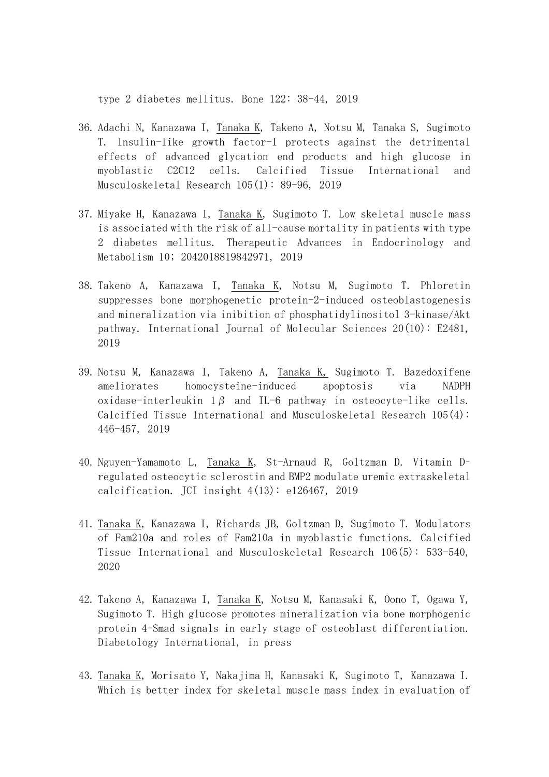type 2 diabetes mellitus. Bone 122: 38-44, 2019

- 36. Adachi N, Kanazawa I, Tanaka K, Takeno A, Notsu M, Tanaka S, Sugimoto T. Insulin-like growth factor-I protects against the detrimental effects of advanced glycation end products and high glucose in myoblastic C2C12 cells. Calcified Tissue International and Musculoskeletal Research 105(1): 89-96, 2019
- 37. Miyake H, Kanazawa I, Tanaka K, Sugimoto T. Low skeletal muscle mass is associated with the risk of all-cause mortality in patients with type 2 diabetes mellitus. Therapeutic Advances in Endocrinology and Metabolism 10; 2042018819842971, 2019
- 38. Takeno A, Kanazawa I, Tanaka K, Notsu M, Sugimoto T. Phloretin suppresses bone morphogenetic protein-2-induced osteoblastogenesis and mineralization via inibition of phosphatidylinositol 3-kinase/Akt pathway. International Journal of Molecular Sciences 20(10): E2481, 2019
- 39. Notsu M, Kanazawa I, Takeno A, Tanaka K, Sugimoto T. Bazedoxifene ameliorates homocysteine-induced apoptosis via NADPH oxidase-interleukin  $1\beta$  and IL-6 pathway in osteocyte-like cells. Calcified Tissue International and Musculoskeletal Research 105(4): 446-457, 2019
- 40. Nguyen-Yamamoto L, Tanaka K, St-Arnaud R, Goltzman D. Vitamin D– regulated osteocytic sclerostin and BMP2 modulate uremic extraskeletal calcification. JCI insight  $4(13)$ : e126467, 2019
- 41. Tanaka K, Kanazawa I, Richards JB, Goltzman D, Sugimoto T. Modulators of Fam210a and roles of Fam210a in myoblastic functions. Calcified Tissue International and Musculoskeletal Research 106(5): 533-540, 2020
- 42. Takeno A, Kanazawa I, Tanaka K, Notsu M, Kanasaki K, Oono T, Ogawa Y, Sugimoto T. High glucose promotes mineralization via bone morphogenic protein 4-Smad signals in early stage of osteoblast differentiation. Diabetology International, in press
- 43. Tanaka K, Morisato Y, Nakajima H, Kanasaki K, Sugimoto T, Kanazawa I. Which is better index for skeletal muscle mass index in evaluation of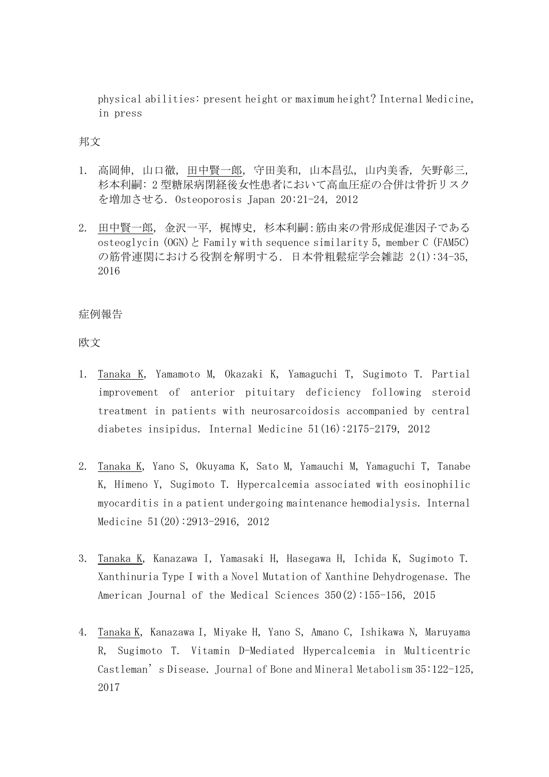physical abilities: present height or maximum height? Internal Medicine, in press

邦文

- 1. 高岡伸, 山口徹, 田中賢一郎, 守田美和, 山本昌弘, 山内美香, 矢野彰三, 杉本利嗣: 2 型糖尿病閉経後女性患者において高血圧症の合併は骨折リスク を増加させる. Osteoporosis Japan 20:21-24, 2012
- 2. 田中賢一郎, 金沢一平, 梶博史, 杉本利嗣:筋由来の骨形成促進因子である osteoglycin (OGN)  $\geq$  Family with sequence similarity 5, member C (FAM5C) の筋骨連関における役割を解明する. 日本骨粗鬆症学会雑誌 2(1):34-35, 2016

## 症例報告

欧文

- 1. Tanaka K, Yamamoto M, Okazaki K, Yamaguchi T, Sugimoto T. Partial improvement of anterior pituitary deficiency following steroid treatment in patients with neurosarcoidosis accompanied by central diabetes insipidus. Internal Medicine 51(16):2175-2179, 2012
- 2. Tanaka K, Yano S, Okuyama K, Sato M, Yamauchi M, Yamaguchi T, Tanabe K, Himeno Y, Sugimoto T. Hypercalcemia associated with eosinophilic myocarditis in a patient undergoing maintenance hemodialysis. Internal Medicine 51(20):2913-2916, 2012
- 3. Tanaka K, Kanazawa I, Yamasaki H, Hasegawa H, Ichida K, Sugimoto T. Xanthinuria Type I with a Novel Mutation of Xanthine Dehydrogenase. The American Journal of the Medical Sciences 350(2):155-156, 2015
- 4. Tanaka K, Kanazawa I, Miyake H, Yano S, Amano C, Ishikawa N, Maruyama R, Sugimoto T. Vitamin D-Mediated Hypercalcemia in Multicentric Castleman's Disease. Journal of Bone and Mineral Metabolism 35:122-125, 2017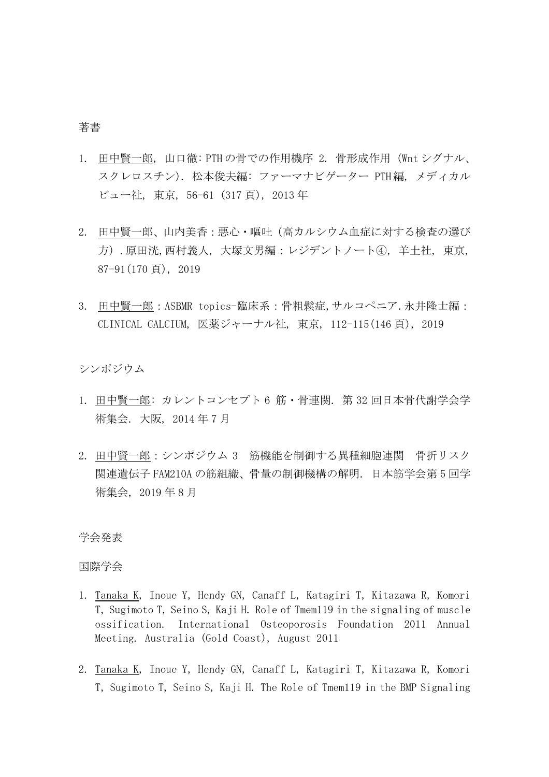## 著書

- 1. 田中賢一郎, 山口徹: PTH の骨での作用機序 2. 骨形成作用 (Wnt シグナル、 スクレロスチン). 松本俊夫編: ファーマナビゲーター PTH編, メディカル ビュー社, 東京, 56-61 (317 頁), 2013 年
- 2. 田中賢一郎、山内美香:悪心・嘔吐(高カルシウム血症に対する検査の選び 方).原田洸,西村義人, 大塚文男編:レジデントノート④, 羊土社, 東京, 87-91(170 頁), 2019
- 3. 田中賢一郎:ASBMR topics-臨床系:骨粗鬆症,サルコペニア.永井隆士編: CLINICAL CALCIUM, 医薬ジャーナル社, 東京, 112-115(146 頁), 2019

シンポジウム

- 1. 田中賢一郎: カレントコンセプト 6 筋・骨連関. 第 32 回日本骨代謝学会学 術集会. 大阪, 2014 年 7 月
- 2. 田中賢一郎:シンポジウム 3 筋機能を制御する異種細胞連関 骨折リスク 関連遺伝子 FAM210A の筋組織、骨量の制御機構の解明. 日本筋学会第 5 回学 術集会, 2019 年 8 月

学会発表

国際学会

- 1. Tanaka K, Inoue Y, Hendy GN, Canaff L, Katagiri T, Kitazawa R, Komori T, Sugimoto T, Seino S, Kaji H. Role of Tmem119 in the signaling of muscle ossification. International Osteoporosis Foundation 2011 Annual Meeting. Australia (Gold Coast), August 2011
- 2. Tanaka K, Inoue Y, Hendy GN, Canaff L, Katagiri T, Kitazawa R, Komori T, Sugimoto T, Seino S, Kaji H. The Role of Tmem119 in the BMP Signaling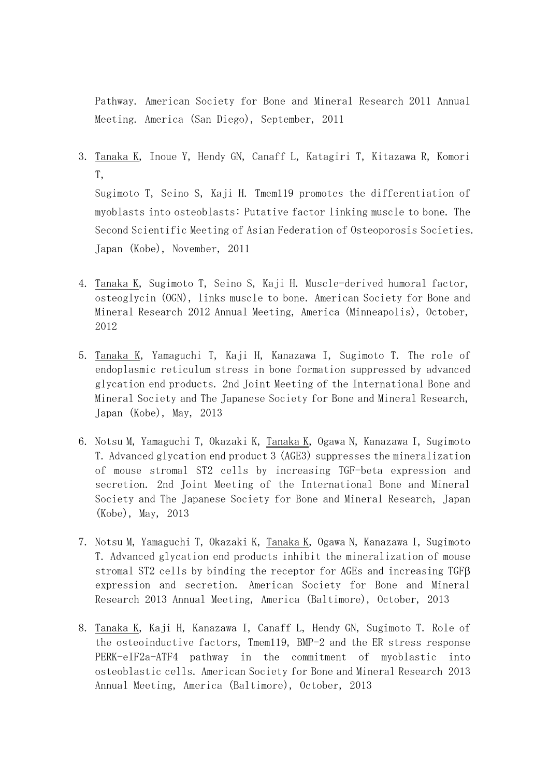Pathway. American Society for Bone and Mineral Research 2011 Annual Meeting. America (San Diego), September, 2011

3. Tanaka K, Inoue Y, Hendy GN, Canaff L, Katagiri T, Kitazawa R, Komori T,

Sugimoto T, Seino S, Kaji H. Tmem119 promotes the differentiation of myoblasts into osteoblasts: Putative factor linking muscle to bone. The Second Scientific Meeting of Asian Federation of Osteoporosis Societies. Japan (Kobe), November, 2011

- 4. Tanaka K, Sugimoto T, Seino S, Kaji H. Muscle-derived humoral factor, osteoglycin (OGN), links muscle to bone. American Society for Bone and Mineral Research 2012 Annual Meeting, America (Minneapolis), October, 2012
- 5. Tanaka K, Yamaguchi T, Kaji H, Kanazawa I, Sugimoto T. The role of endoplasmic reticulum stress in bone formation suppressed by advanced glycation end products. 2nd Joint Meeting of the International Bone and Mineral Society and The Japanese Society for Bone and Mineral Research, Japan (Kobe), May, 2013
- 6. Notsu M, Yamaguchi T, Okazaki K, Tanaka K, Ogawa N, Kanazawa I, Sugimoto T. Advanced glycation end product 3 (AGE3) suppresses the mineralization of mouse stromal ST2 cells by increasing TGF-beta expression and secretion. 2nd Joint Meeting of the International Bone and Mineral Society and The Japanese Society for Bone and Mineral Research, Japan (Kobe), May, 2013
- 7. Notsu M, Yamaguchi T, Okazaki K, Tanaka K, Ogawa N, Kanazawa I, Sugimoto T. Advanced glycation end products inhibit the mineralization of mouse stromal ST2 cells by binding the receptor for AGEs and increasing  $TGF\beta$ expression and secretion. American Society for Bone and Mineral Research 2013 Annual Meeting, America (Baltimore), October, 2013
- 8. Tanaka K, Kaji H, Kanazawa I, Canaff L, Hendy GN, Sugimoto T. Role of the osteoinductive factors, Tmem119, BMP-2 and the ER stress response PERK-eIF2a-ATF4 pathway in the commitment of myoblastic into osteoblastic cells. American Society for Bone and Mineral Research 2013 Annual Meeting, America (Baltimore), October, 2013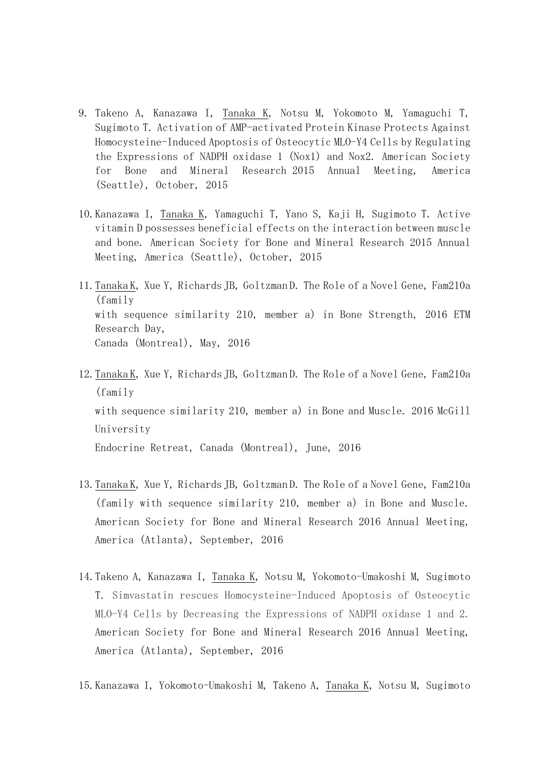- 9. Takeno A, Kanazawa I, Tanaka K, Notsu M, Yokomoto M, Yamaguchi T, Sugimoto T. Activation of AMP-activated Protein Kinase Protects Against Homocysteine-Induced Apoptosis of Osteocytic MLO-Y4 Cells by Regulating the Expressions of NADPH oxidase 1 (Nox1) and Nox2. American Society for Bone and Mineral Research 2015 Annual Meeting, America (Seattle), October, 2015
- 10.Kanazawa I, Tanaka K, Yamaguchi T, Yano S, Kaji H, Sugimoto T. Active vitamin D possesses beneficial effects on the interaction between muscle and bone. American Society for Bone and Mineral Research 2015 Annual Meeting, America (Seattle), October, 2015
- 11.Tanaka K, Xue Y, Richards JB, Goltzman D. The Role of a Novel Gene, Fam210a (family with sequence similarity 210, member a) in Bone Strength, 2016 ETM Research Day, Canada (Montreal), May, 2016
- 12.Tanaka K, Xue Y, Richards JB, Goltzman D. The Role of a Novel Gene, Fam210a (family with sequence similarity 210, member a) in Bone and Muscle. 2016 McGill University Endocrine Retreat, Canada (Montreal), June, 2016
- 13.Tanaka K, Xue Y, Richards JB, Goltzman D. The Role of a Novel Gene, Fam210a (family with sequence similarity 210, member a) in Bone and Muscle. American Society for Bone and Mineral Research 2016 Annual Meeting, America (Atlanta), September, 2016
- 14.Takeno A, Kanazawa I, Tanaka K, Notsu M, Yokomoto-Umakoshi M, Sugimoto T. Simvastatin rescues Homocysteine-Induced Apoptosis of Osteocytic MLO-Y4 Cells by Decreasing the Expressions of NADPH oxidase 1 and 2. American Society for Bone and Mineral Research 2016 Annual Meeting, America (Atlanta), September, 2016
- 15.Kanazawa I, Yokomoto-Umakoshi M, Takeno A, Tanaka K, Notsu M, Sugimoto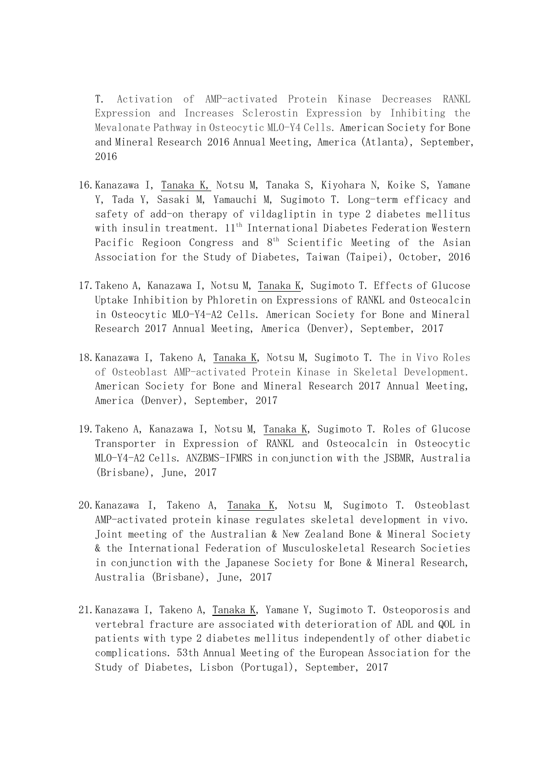T. Activation of AMP-activated Protein Kinase Decreases RANKL Expression and Increases Sclerostin Expression by Inhibiting the Mevalonate Pathway in Osteocytic MLO-Y4 Cells. American Society for Bone and Mineral Research 2016 Annual Meeting, America (Atlanta), September, 2016

- 16.Kanazawa I, Tanaka K, Notsu M, Tanaka S, Kiyohara N, Koike S, Yamane Y, Tada Y, Sasaki M, Yamauchi M, Sugimoto T. Long-term efficacy and safety of add-on therapy of vildagliptin in type 2 diabetes mellitus with insulin treatment.  $11<sup>th</sup>$  International Diabetes Federation Western Pacific Regioon Congress and  $8<sup>th</sup>$  Scientific Meeting of the Asian Association for the Study of Diabetes, Taiwan (Taipei), October, 2016
- 17.Takeno A, Kanazawa I, Notsu M, Tanaka K, Sugimoto T. Effects of Glucose Uptake Inhibition by Phloretin on Expressions of RANKL and Osteocalcin in Osteocytic MLO-Y4-A2 Cells. American Society for Bone and Mineral Research 2017 Annual Meeting, America (Denver), September, 2017
- 18. Kanazawa I, Takeno A, Tanaka K, Notsu M, Sugimoto T. The in Vivo Roles of Osteoblast AMP-activated Protein Kinase in Skeletal Development. American Society for Bone and Mineral Research 2017 Annual Meeting, America (Denver), September, 2017
- 19.Takeno A, Kanazawa I, Notsu M, Tanaka K, Sugimoto T. Roles of Glucose Transporter in Expression of RANKL and Osteocalcin in Osteocytic MLO-Y4-A2 Cells. ANZBMS-IFMRS in conjunction with the JSBMR, Australia (Brisbane), June, 2017
- 20.Kanazawa I, Takeno A, Tanaka K, Notsu M, Sugimoto T. Osteoblast AMP-activated protein kinase regulates skeletal development in vivo. Joint meeting of the Australian & New Zealand Bone & Mineral Society & the International Federation of Musculoskeletal Research Societies in conjunction with the Japanese Society for Bone & Mineral Research, Australia (Brisbane), June, 2017
- 21.Kanazawa I, Takeno A, Tanaka K, Yamane Y, Sugimoto T. Osteoporosis and vertebral fracture are associated with deterioration of ADL and QOL in patients with type 2 diabetes mellitus independently of other diabetic complications. 53th Annual Meeting of the European Association for the Study of Diabetes, Lisbon (Portugal), September, 2017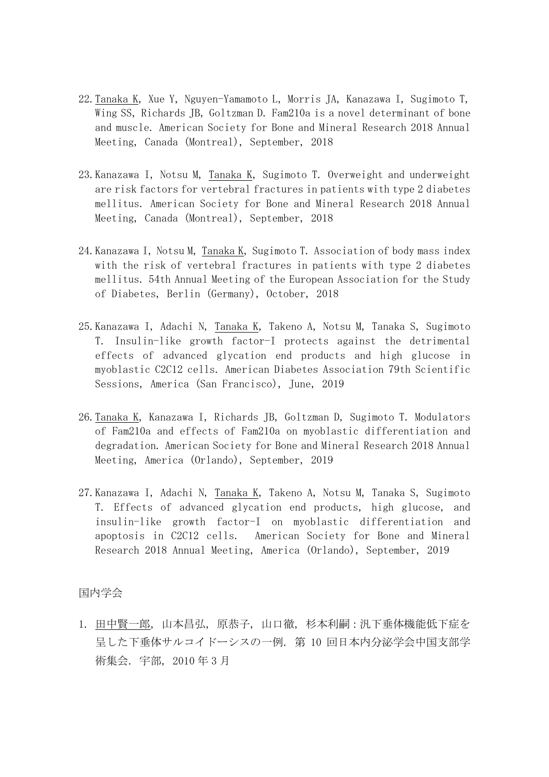- 22.Tanaka K, Xue Y, Nguyen-Yamamoto L, Morris JA, Kanazawa I, Sugimoto T, Wing SS, Richards JB, Goltzman D. Fam210a is a novel determinant of bone and muscle. American Society for Bone and Mineral Research 2018 Annual Meeting, Canada (Montreal), September, 2018
- 23.Kanazawa I, Notsu M, Tanaka K, Sugimoto T. Overweight and underweight are risk factors for vertebral fractures in patients with type 2 diabetes mellitus. American Society for Bone and Mineral Research 2018 Annual Meeting, Canada (Montreal), September, 2018
- 24.Kanazawa I, Notsu M, Tanaka K, Sugimoto T. Association of body mass index with the risk of vertebral fractures in patients with type 2 diabetes mellitus. 54th Annual Meeting of the European Association for the Study of Diabetes, Berlin (Germany), October, 2018
- 25.Kanazawa I, Adachi N, Tanaka K, Takeno A, Notsu M, Tanaka S, Sugimoto T. Insulin-like growth factor-I protects against the detrimental effects of advanced glycation end products and high glucose in myoblastic C2C12 cells. American Diabetes Association 79th Scientific Sessions, America (San Francisco), June, 2019
- 26.Tanaka K, Kanazawa I, Richards JB, Goltzman D, Sugimoto T. Modulators of Fam210a and effects of Fam210a on myoblastic differentiation and degradation. American Society for Bone and Mineral Research 2018 Annual Meeting, America (Orlando), September, 2019
- 27.Kanazawa I, Adachi N, Tanaka K, Takeno A, Notsu M, Tanaka S, Sugimoto T. Effects of advanced glycation end products, high glucose, and insulin-like growth factor-I on myoblastic differentiation and apoptosis in C2C12 cells. American Society for Bone and Mineral Research 2018 Annual Meeting, America (Orlando), September, 2019

国内学会

1. 田中賢一郎, 山本昌弘, 原恭子, 山口徹, 杉本利嗣: 汎下垂体機能低下症を 呈した下垂体サルコイドーシスの一例. 第 10 回日本内分泌学会中国支部学 術集会. 宇部, 2010 年 3 月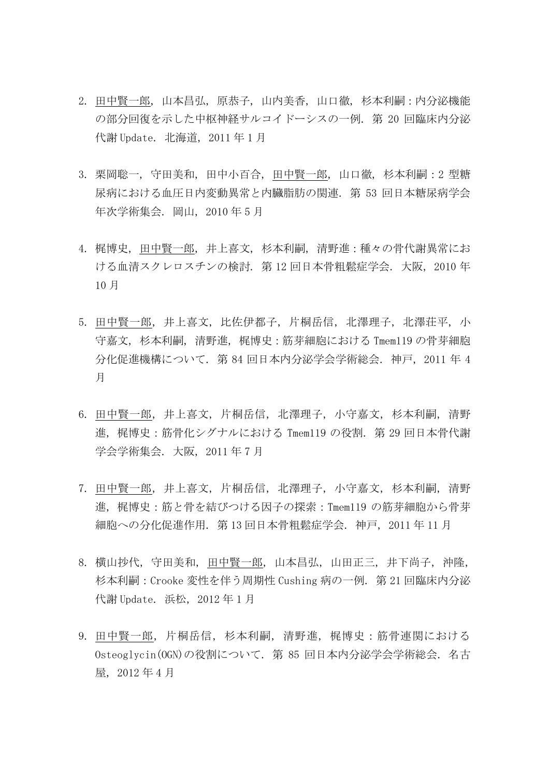- 2. 田中賢一郎, 山本昌弘, 原恭子, 山内美香, 山口徹, 杉本利嗣:内分泌機能 の部分回復を示した中枢神経サルコイドーシスの一例. 第 20 回臨床内分泌 代謝 Update. 北海道, 2011 年 1 月
- 3. 栗岡聡一, 守田美和, 田中小百合, 田中賢一郎, 山口徹, 杉本利嗣:2 型糖 尿病における血圧日内変動異常と内臓脂肪の関連. 第 53 回日本糖尿病学会 年次学術集会. 岡山, 2010 年 5 月
- 4. 梶博史, 田中賢一郎, 井上喜文, 杉本利嗣, 清野進:種々の骨代謝異常にお ける血清スクレロスチンの検討. 第 12 回日本骨粗鬆症学会. 大阪, 2010 年 10 月
- 5. 田中賢一郎, 井上喜文, 比佐伊都子, 片桐岳信, 北澤理子, 北澤荘平, 小 守嘉文, 杉本利嗣, 清野進, 梶博史:筋芽細胞における Tmem119 の骨芽細胞 分化促進機構について. 第 84 回日本内分泌学会学術総会. 神戸, 2011 年 4 月
- 6. 田中賢一郎, 井上喜文, 片桐岳信, 北澤理子, 小守嘉文, 杉本利嗣, 清野 進, 梶博史:筋骨化シグナルにおける Tmem119 の役割. 第 29 回日本骨代謝 学会学術集会. 大阪, 2011 年 7 月
- 7. 田中賢一郎, 井上喜文, 片桐岳信, 北澤理子, 小守嘉文, 杉本利嗣, 清野 進, 梶博史:筋と骨を結びつける因子の探索:Tmem119 の筋芽細胞から骨芽 細胞への分化促進作用. 第 13 回日本骨粗鬆症学会. 神戸, 2011 年 11 月
- 8. 横山抄代, 守田美和, 田中賢一郎, 山本昌弘, 山田正三, 井下尚子, 沖隆, 杉本利嗣:Crooke 変性を伴う周期性 Cushing 病の一例. 第 21 回臨床内分泌 代謝 Update. 浜松, 2012 年 1 月
- 9. 田中賢一郎, 片桐岳信, 杉本利嗣, 清野進, 梶博史:筋骨連関における Osteoglycin(OGN)の役割について. 第 85 回日本内分泌学会学術総会. 名古 屋, 2012 年 4 月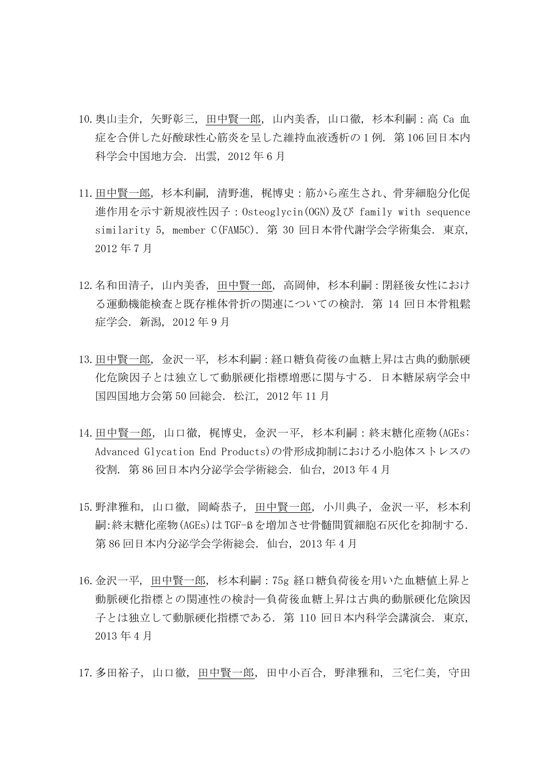- 10.奥山圭介, 矢野彰三, 田中賢一郎, 山内美香, 山口徹, 杉本利嗣:高 Ca 血 症を合併した好酸球性心筋炎を呈した維持血液透析の 1 例. 第 106 回日本内 科学会中国地方会. 出雲, 2012 年 6 月
- 11.田中賢一郎, 杉本利嗣, 清野進, 梶博史:筋から産生され、骨芽細胞分化促 進作用を示す新規液性因子:Osteoglycin(OGN)及び family with sequence similarity 5, member C(FAM5C). 第 30 回日本骨代謝学会学術集会. 東京, 2012 年 7 月
- 12.名和田清子, 山内美香, 田中賢一郎, 高岡伸, 杉本利嗣:閉経後女性におけ る運動機能検査と既存椎体骨折の関連についての検討. 第 14 回日本骨粗鬆 症学会. 新潟, 2012 年 9 月
- 13.田中賢一郎, 金沢一平, 杉本利嗣:経口糖負荷後の血糖上昇は古典的動脈硬 化危険因子とは独立して動脈硬化指標増悪に関与する. 日本糖尿病学会中 国四国地方会第 50 回総会. 松江, 2012 年 11 月
- 14.田中賢一郎, 山口徹, 梶博史, 金沢一平, 杉本利嗣:終末糖化産物(AGEs: Advanced Glycation End Products)の骨形成抑制における小胞体ストレスの 役割. 第 86 回日本内分泌学会学術総会. 仙台, 2013 年 4 月
- 15.野津雅和, 山口徹, 岡崎恭子, 田中賢一郎, 小川典子, 金沢一平, 杉本利 嗣:終末糖化産物(AGEs)は TGF-ß を増加させ骨髄間質細胞石灰化を抑制する. 第 86 回日本内分泌学会学術総会. 仙台, 2013 年 4 月
- 16.金沢一平, 田中賢一郎, 杉本利嗣:75g 経口糖負荷後を用いた血糖値上昇と 動脈硬化指標との関連性の検討―負荷後血糖上昇は古典的動脈硬化危険因 子とは独立して動脈硬化指標である. 第 110 回日本内科学会講演会. 東京, 2013 年 4 月
- 17.多田裕子, 山口徹, 田中賢一郎, 田中小百合, 野津雅和, 三宅仁美, 守田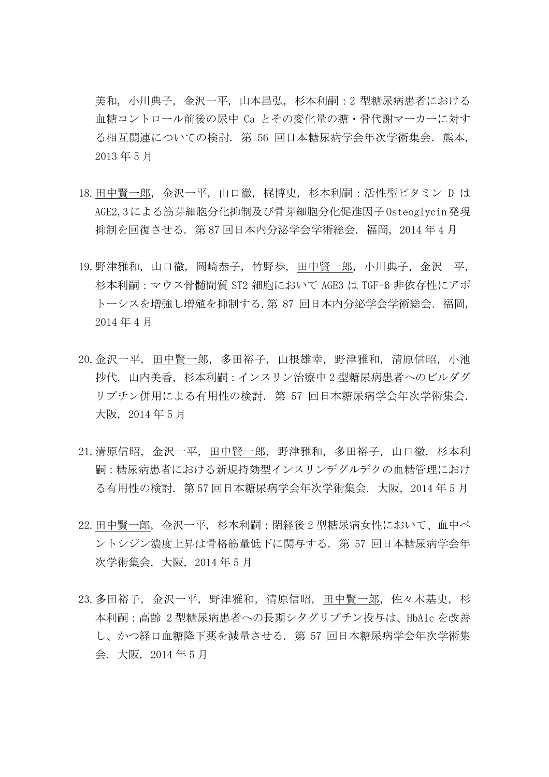美和, 小川典子, 金沢一平, 山本昌弘, 杉本利嗣:2 型糖尿病患者における 血糖コントロール前後の尿中 Ca とその変化量の糖・骨代謝マーカーに対す る相互関連についての検討. 第 56 回日本糖尿病学会年次学術集会. 熊本, 2013 年 5 月

- 18.田中賢一郎, 金沢一平, 山口徹, 梶博史, 杉本利嗣:活性型ビタミン D は AGE2,3による筋芽細胞分化抑制及び骨芽細胞分化促進因子Osteoglycin発現 抑制を回復させる. 第 87 回日本内分泌学会学術総会. 福岡, 2014 年 4 月
- 19.野津雅和, 山口徹, 岡崎恭子, 竹野歩, 田中賢一郎, 小川典子, 金沢一平, 杉本利嗣:マウス骨髄間質 ST2 細胞において AGE3 は TGF-ß 非依存性にアポ トーシスを増強し増殖を抑制する.第 87 回日本内分泌学会学術総会. 福岡, 2014 年 4 月
- 20.金沢一平, 田中賢一郎, 多田裕子, 山根雄幸, 野津雅和, 清原信昭, 小池 抄代, 山内美香, 杉本利嗣:インスリン治療中 2 型糖尿病患者へのビルダグ リプチン併用による有用性の検討. 第 57 回日本糖尿病学会年次学術集会. 大阪, 2014 年 5 月
- 21.清原信昭, 金沢一平, 田中賢一郎, 野津雅和, 多田裕子, 山口徹, 杉本利 嗣:糖尿病患者における新規持効型インスリンデグルデクの血糖管理におけ る有用性の検討. 第 57 回日本糖尿病学会年次学術集会. 大阪, 2014 年 5 月
- 22.田中賢一郎, 金沢一平, 杉本利嗣:閉経後 2 型糖尿病女性において、血中ペ ントシジン濃度上昇は骨格筋量低下に関与する. 第 57 回日本糖尿病学会年 次学術集会. 大阪, 2014 年 5 月
- 23.多田裕子, 金沢一平, 野津雅和, 清原信昭, 田中賢一郎, 佐々木基史, 杉 本利嗣:高齢 2 型糖尿病患者への長期シタグリプチン投与は、HbA1c を改善 し、かつ経口血糖降下薬を減量させる. 第 57 回日本糖尿病学会年次学術集 会. 大阪, 2014 年 5 月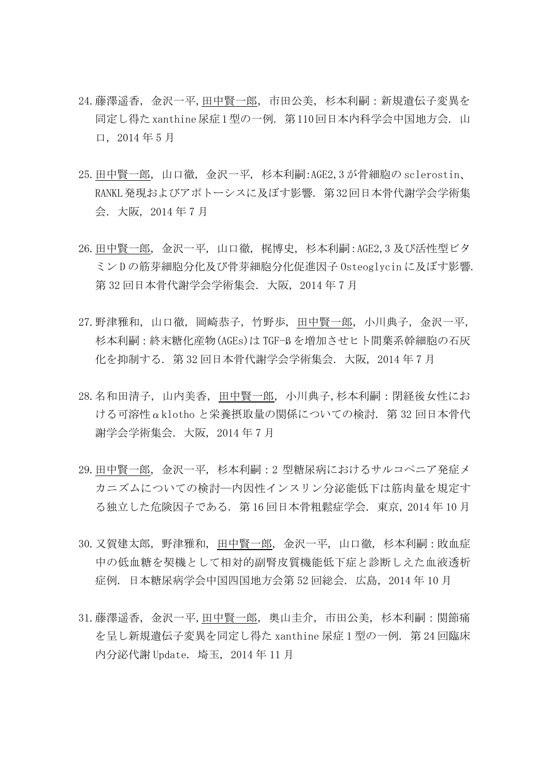- 24.藤澤遥香, 金沢一平,田中賢一郎, 市田公美, 杉本利嗣:新規遺伝子変異を 同定し得たxanthine尿症1型の一例. 第110回日本内科学会中国地方会. 山 口, 2014 年 5 月
- 25.田中賢一郎, 山口徹, 金沢一平, 杉本利嗣:AGE2,3 が骨細胞の sclerostin、 RANKL発現およびアポトーシスに及ぼす影響. 第32回日本骨代謝学会学術集 会. 大阪, 2014 年 7 月
- 26.田中賢一郎, 金沢一平, 山口徹, 梶博史, 杉本利嗣:AGE2,3 及び活性型ビタ ミン D の筋芽細胞分化及び骨芽細胞分化促進因子 Osteoglycin に及ぼす影響. 第 32 回日本骨代謝学会学術集会. 大阪, 2014 年 7 月
- 27.野津雅和, 山口徹, 岡崎恭子, 竹野歩, 田中賢一郎, 小川典子, 金沢一平, 杉本利嗣:終末糖化産物(AGEs)は TGF-ß を増加させヒト間葉系幹細胞の石灰 化を抑制する. 第 32 回日本骨代謝学会学術集会. 大阪, 2014 年 7 月
- 28.名和田清子, 山内美香, 田中賢一郎, 小川典子,杉本利嗣:閉経後女性にお ける可溶性αklotho と栄養摂取量の関係についての検討. 第 32 回日本骨代 謝学会学術集会. 大阪, 2014 年 7 月
- 29.田中賢一郎, 金沢一平, 杉本利嗣:2 型糖尿病におけるサルコペニア発症メ カニズムについての検討―内因性インスリン分泌能低下は筋肉量を規定す る独立した危険因子である. 第 16 回日本骨粗鬆症学会. 東京, 2014 年 10 月
- 30.又賀建太郎, 野津雅和, 田中賢一郎, 金沢一平, 山口徹, 杉本利嗣:敗血症 中の低血糖を契機として相対的副腎皮質機能低下症と診断しえた血液透析 症例. 日本糖尿病学会中国四国地方会第 52 回総会. 広島, 2014 年 10 月
- 31.藤澤遥香, 金沢一平,田中賢一郎, 奥山圭介, 市田公美, 杉本利嗣:関節痛 を呈し新規遺伝子変異を同定し得た xanthine 尿症 1 型の一例. 第 24 回臨床 内分泌代謝 Update. 埼玉, 2014 年 11 月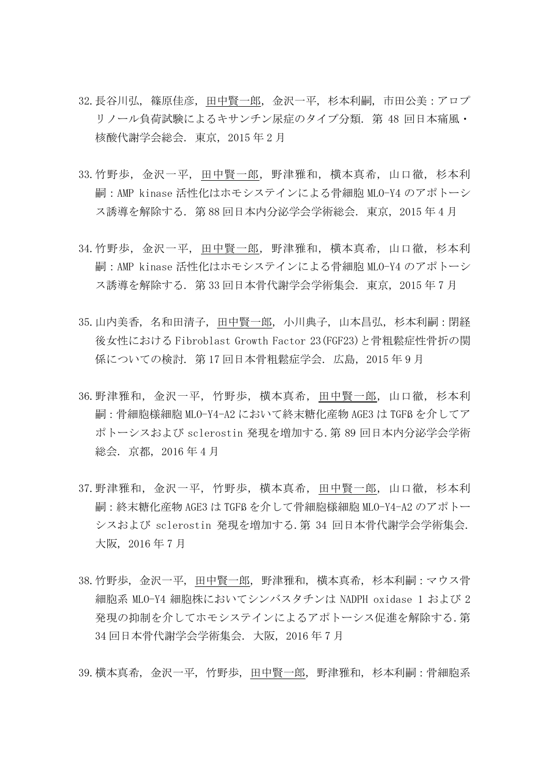- 32.長谷川弘, 篠原佳彦, 田中賢一郎, 金沢一平, 杉本利嗣, 市田公美:アロプ リノール負荷試験によるキサンチン尿症のタイプ分類. 第 48 回日本痛風・ 核酸代謝学会総会. 東京, 2015 年 2 月
- 33.竹野歩, 金沢一平, 田中賢一郎, 野津雅和, 横本真希, 山口徹, 杉本利 嗣:AMP kinase 活性化はホモシステインによる骨細胞 MLO-Y4 のアポトーシ ス誘導を解除する. 第 88 回日本内分泌学会学術総会. 東京, 2015 年 4 月
- 34.竹野歩, 金沢一平, 田中賢一郎, 野津雅和, 横本真希, 山口徹, 杉本利 嗣:AMP kinase 活性化はホモシステインによる骨細胞 MLO-Y4 のアポトーシ ス誘導を解除する. 第 33 回日本骨代謝学会学術集会. 東京, 2015 年 7 月
- 35.山内美香, 名和田清子, 田中賢一郎, 小川典子, 山本昌弘, 杉本利嗣:閉経 後女性における Fibroblast Growth Factor 23(FGF23)と骨粗鬆症性骨折の関 係についての検討. 第 17 回日本骨粗鬆症学会. 広島, 2015 年 9 月
- 36.野津雅和, 金沢一平, 竹野歩, 横本真希, 田中賢一郎, 山口徹, 杉本利 嗣:骨細胞様細胞 MLO-Y4-A2 において終末糖化産物 AGE3 は TGFß を介してア ポトーシスおよび sclerostin 発現を増加する.第 89 回日本内分泌学会学術 総会. 京都, 2016 年 4 月
- 37.野津雅和, 金沢一平, 竹野歩, 横本真希, 田中賢一郎, 山口徹, 杉本利 嗣:終末糖化産物 AGE3 は TGFß を介して骨細胞様細胞 MLO-Y4-A2 のアポトー シスおよび sclerostin 発現を増加する.第 34 回日本骨代謝学会学術集会. 大阪, 2016 年 7 月
- 38.竹野歩, 金沢一平, 田中賢一郎, 野津雅和, 横本真希, 杉本利嗣:マウス骨 細胞系 MLO-Y4 細胞株においてシンバスタチンは NADPH oxidase 1 および 2 発現の抑制を介してホモシステインによるアポトーシス促進を解除する.第 34 回日本骨代謝学会学術集会. 大阪, 2016 年 7 月
- 39.横本真希, 金沢一平, 竹野歩, 田中賢一郎, 野津雅和, 杉本利嗣:骨細胞系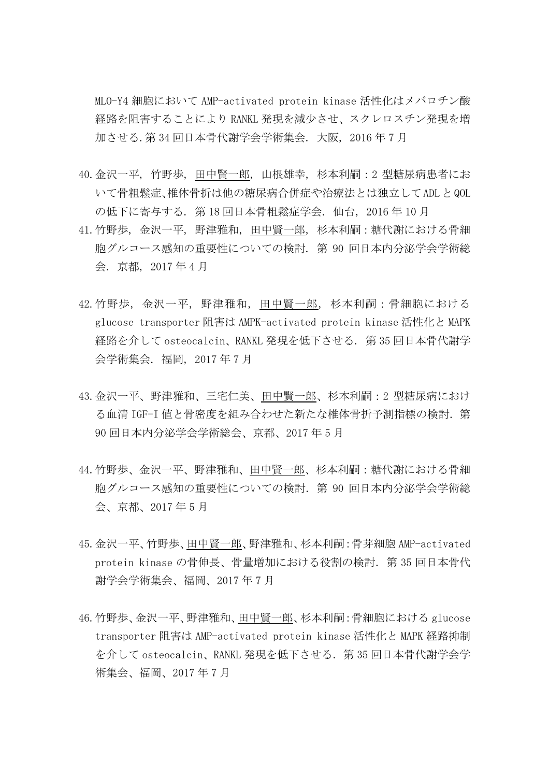MLO-Y4 細胞において AMP-activated protein kinase 活性化はメバロチン酸 経路を阻害することにより RANKL 発現を減尐させ、スクレロスチン発現を増 加させる.第 34 回日本骨代謝学会学術集会. 大阪, 2016 年 7 月

- 40.金沢一平, 竹野歩, 田中賢一郎, 山根雄幸, 杉本利嗣:2 型糖尿病患者にお いて骨粗鬆症、椎体骨折は他の糖尿病合併症や治療法とは独立してADLとQOL の低下に寄与する. 第 18 回日本骨粗鬆症学会. 仙台, 2016 年 10 月
- 41.竹野歩, 金沢一平, 野津雅和, 田中賢一郎, 杉本利嗣:糖代謝における骨細 胞グルコース感知の重要性についての検討. 第 90 回日本内分泌学会学術総 会. 京都, 2017 年 4 月
- 42.竹野歩, 金沢一平, 野津雅和, 田中賢一郎, 杉本利嗣:骨細胞における glucose transporter 阻害は AMPK-activated protein kinase 活性化と MAPK 経路を介して osteocalcin、RANKL 発現を低下させる. 第 35 回日本骨代謝学 会学術集会. 福岡, 2017 年 7 月
- 43.金沢一平、野津雅和、三宅仁美、田中賢一郎、杉本利嗣:2 型糖尿病におけ る血清 IGF-I 値と骨密度を組み合わせた新たな椎体骨折予測指標の検討. 第 90 回日本内分泌学会学術総会、京都、2017 年 5 月
- 44.竹野歩、金沢一平、野津雅和、田中賢一郎、杉本利嗣:糖代謝における骨細 胞グルコース感知の重要性についての検討.第 90 回日本内分泌学会学術総 会、京都、2017 年 5 月
- 45.金沢一平、竹野歩、田中賢一郎、野津雅和、杉本利嗣:骨芽細胞 AMP-activated protein kinase の骨伸長、骨量増加における役割の検討.第 35 回日本骨代 謝学会学術集会、福岡、2017 年 7 月
- 46.竹野歩、金沢一平、野津雅和、田中賢一郎、杉本利嗣:骨細胞における glucose transporter 阻害は AMP-activated protein kinase 活性化と MAPK 経路抑制 を介して osteocalcin、RANKL 発現を低下させる.第 35 回日本骨代謝学会学 術集会、福岡、2017 年 7 月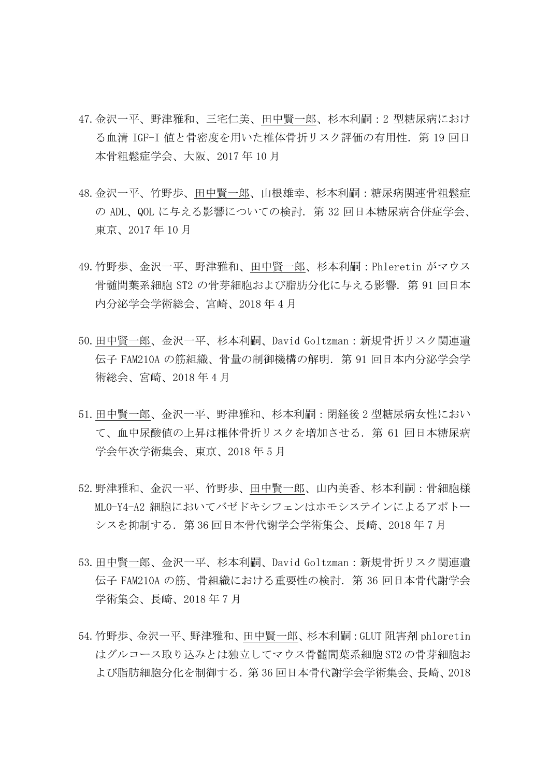- 47.金沢一平、野津雅和、三宅仁美、田中賢一郎、杉本利嗣:2 型糖尿病におけ る血清 IGF-I 値と骨密度を用いた椎体骨折リスク評価の有用性. 第 19 回日 本骨粗鬆症学会、大阪、2017 年 10 月
- 48.金沢一平、竹野歩、田中賢一郎、山根雄幸、杉本利嗣:糖尿病関連骨粗鬆症 の ADL、QOL に与える影響についての検討. 第 32 回日本糖尿病合併症学会、 東京、2017 年 10 月
- 49.竹野歩、金沢一平、野津雅和、田中賢一郎、杉本利嗣:Phleretin がマウス 骨髄間葉系細胞 ST2 の骨芽細胞および脂肪分化に与える影響. 第 91 回日本 内分泌学会学術総会、宮崎、2018 年 4 月
- 50.田中賢一郎、金沢一平、杉本利嗣、David Goltzman:新規骨折リスク関連遺 伝子 FAM210A の筋組織、骨量の制御機構の解明. 第 91 回日本内分泌学会学 術総会、宮崎、2018 年 4 月
- 51.田中賢一郎、金沢一平、野津雅和、杉本利嗣:閉経後 2 型糖尿病女性におい て、血中尿酸値の上昇は椎体骨折リスクを増加させる.第 61 回日本糖尿病 学会年次学術集会、東京、2018 年 5 月
- 52.野津雅和、金沢一平、竹野歩、田中賢一郎、山内美香、杉本利嗣:骨細胞様 MLO-Y4-A2 細胞においてバゼドキシフェンはホモシステインによるアポトー シスを抑制する.第 36 回日本骨代謝学会学術集会、長崎、2018 年 7 月
- 53.田中賢一郎、金沢一平、杉本利嗣、David Goltzman:新規骨折リスク関連遺 伝子 FAM210A の筋、骨組織における重要性の検討.第 36 回日本骨代謝学会 学術集会、長崎、2018 年 7 月
- 54.竹野歩、金沢一平、野津雅和、田中賢一郎、杉本利嗣:GLUT 阻害剤 phloretin はグルコース取り込みとは独立してマウス骨髄間葉系細胞 ST2 の骨芽細胞お よび脂肪細胞分化を制御する.第 36 回日本骨代謝学会学術集会、長崎、2018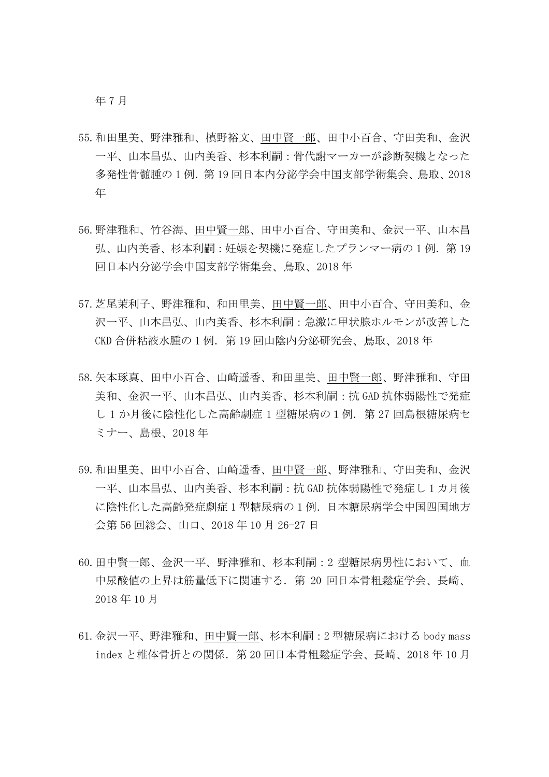- 55.和田里美、野津雅和、槙野裕文、田中賢一郎、田中小百合、守田美和、金沢 一平、山本昌弘、山内美香、杉本利嗣:骨代謝マーカーが診断契機となった 多発性骨髄腫の1例. 第19回日本内分泌学会中国支部学術集会、鳥取、2018 年
- 56.野津雅和、竹谷海、田中賢一郎、田中小百合、守田美和、金沢一平、山本昌 弘、山内美香、杉本利嗣: 妊娠を契機に発症したプランマー病の1例. 第19 回日本内分泌学会中国支部学術集会、鳥取、2018 年
- 57.芝尾茉利子、野津雅和、和田里美、田中賢一郎、田中小百合、守田美和、金 沢一平、山本昌弘、山内美香、杉本利嗣:急激に甲状腺ホルモンが改善した CKD 合併粘液水腫の1例. 第19回山陰内分泌研究会、鳥取、2018年
- 58.矢本琢真、田中小百合、山崎遥香、和田里美、田中賢一郎、野津雅和、守田 美和、金沢一平、山本昌弘、山内美香、杉本利嗣:抗 GAD 抗体弱陽性で発症 し 1 か月後に陰性化した高齢劇症 1 型糖尿病の1例.第 27 回島根糖尿病セ ミナー、島根、2018 年
- 59.和田里美、田中小百合、山崎遥香、田中賢一郎、野津雅和、守田美和、金沢 一平、山本昌弘、山内美香、杉本利嗣:抗 GAD 抗体弱陽性で発症し 1 カ月後 に陰性化した高齢発症劇症 1 型糖尿病の 1 例.日本糖尿病学会中国四国地方 会第 56 回総会、山口、2018 年 10 月 26-27 日
- 60.田中賢一郎、金沢一平、野津雅和、杉本利嗣:2 型糖尿病男性において、血 中尿酸値の上昇は筋量低下に関連する.第 20 回日本骨粗鬆症学会、長崎、 2018 年 10 月
- 61.金沢一平、野津雅和、田中賢一郎、杉本利嗣:2 型糖尿病における body mass index と椎体骨折との関係.第 20 回日本骨粗鬆症学会、長崎、2018 年 10 月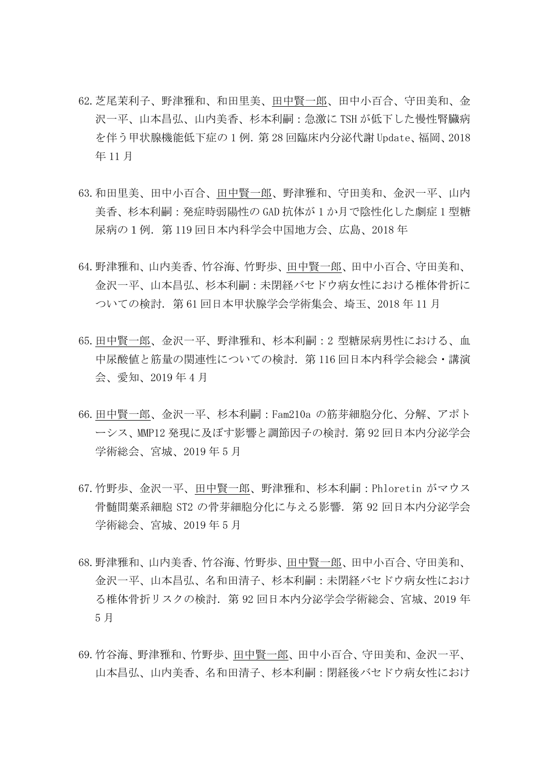- 62.芝尾茉利子、野津雅和、和田里美、田中賢一郎、田中小百合、守田美和、金 沢一平、山本昌弘、山内美香、杉本利嗣:急激に TSH が低下した慢性腎臓病 を伴う甲状腺機能低下症の 1 例.第 28 回臨床内分泌代謝 Update、福岡、2018 年 11 月
- 63.和田里美、田中小百合、田中賢一郎、野津雅和、守田美和、金沢一平、山内 美香、杉本利嗣:発症時弱陽性の GAD 抗体が 1 か月で陰性化した劇症 1 型糖 尿病の1例.第 119 回日本内科学会中国地方会、広島、2018 年
- 64.野津雅和、山内美香、竹谷海、竹野歩、田中賢一郎、田中小百合、守田美和、 金沢一平、山本昌弘、杉本利嗣:未閉経バセドウ病女性における椎体骨折に ついての検討.第 61 回日本甲状腺学会学術集会、埼玉、2018 年 11 月
- 65.田中賢一郎、金沢一平、野津雅和、杉本利嗣:2 型糖尿病男性における、血 中尿酸値と筋量の関連性についての検討.第 116 回日本内科学会総会・講演 会、愛知、2019 年 4 月
- 66.田中賢一郎、金沢一平、杉本利嗣:Fam210a の筋芽細胞分化、分解、アポト ーシス、MMP12 発現に及ぼす影響と調節因子の検討.第 92 回日本内分泌学会 学術総会、宮城、2019 年 5 月
- 67.竹野歩、金沢一平、田中賢一郎、野津雅和、杉本利嗣:Phloretin がマウス 骨髄間葉系細胞 ST2 の骨芽細胞分化に与える影響. 第 92 回日本内分泌学会 学術総会、宮城、2019 年 5 月
- 68.野津雅和、山内美香、竹谷海、竹野歩、田中賢一郎、田中小百合、守田美和、 金沢一平、山本昌弘、名和田清子、杉本利嗣:未閉経バセドウ病女性におけ る椎体骨折リスクの検討.第 92 回日本内分泌学会学術総会、宮城、2019 年 5 月
- 69.竹谷海、野津雅和、竹野歩、田中賢一郎、田中小百合、守田美和、金沢一平、 山本昌弘、山内美香、名和田清子、杉本利嗣:閉経後バセドウ病女性におけ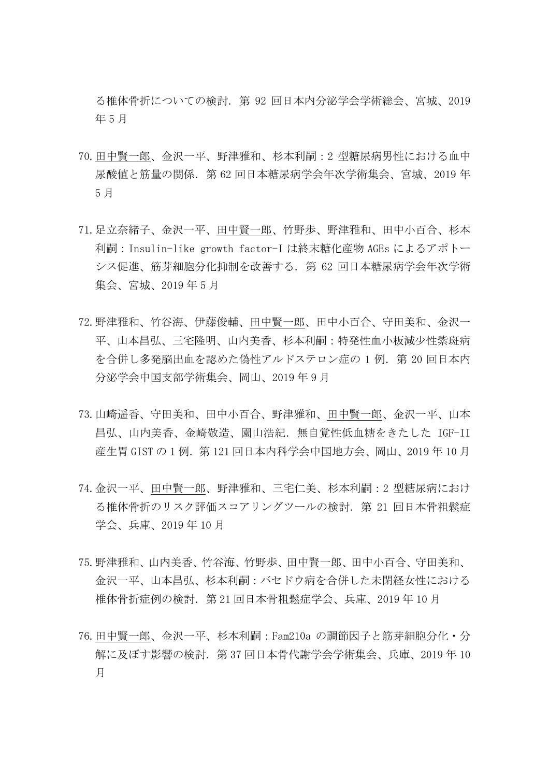る椎体骨折についての検討.第 92 回日本内分泌学会学術総会、宮城、2019 年 5 月

- 70.田中賢一郎、金沢一平、野津雅和、杉本利嗣:2 型糖尿病男性における血中 尿酸値と筋量の関係.第 62 回日本糖尿病学会年次学術集会、宮城、2019 年 5 月
- 71.足立奈緒子、金沢一平、田中賢一郎、竹野歩、野津雅和、田中小百合、杉本 利嗣:Insulin-like growth factor-I は終末糖化産物 AGEs によるアポトー シス促進、筋芽細胞分化抑制を改善する.第 62 回日本糖尿病学会年次学術 集会、宮城、2019 年 5 月
- 72.野津雅和、竹谷海、伊藤俊輔、田中賢一郎、田中小百合、守田美和、金沢一 平、山本昌弘、三宅隆明、山内美香、杉本利嗣:特発性血小板減少性紫斑病 を合併し多発脳出血を認めた偽性アルドステロン症の 1例. 第20回日本内 分泌学会中国支部学術集会、岡山、2019 年 9 月
- 73.山崎遥香、守田美和、田中小百合、野津雅和、田中賢一郎、金沢一平、山本 昌弘、山内美香、金崎敬造、園山浩紀. 無自覚性低血糖をきたした IGF-II 産生胃 GIST の 1 例. 第 121 回日本内科学会中国地方会、岡山、2019 年 10 月
- 74.金沢一平、田中賢一郎、野津雅和、三宅仁美、杉本利嗣:2 型糖尿病におけ る椎体骨折のリスク評価スコアリングツールの検討. 第 21 回日本骨粗鬆症 学会、兵庫、2019 年 10 月
- 75.野津雅和、山内美香、竹谷海、竹野歩、田中賢一郎、田中小百合、守田美和、 金沢一平、山本昌弘、杉本利嗣:バセドウ病を合併した未閉経女性における 椎体骨折症例の検討.第 21 回日本骨粗鬆症学会、兵庫、2019 年 10 月
- 76.田中賢一郎、金沢一平、杉本利嗣:Fam210a の調節因子と筋芽細胞分化・分 解に及ぼす影響の検討.第 37 回日本骨代謝学会学術集会、兵庫、2019 年 10 月